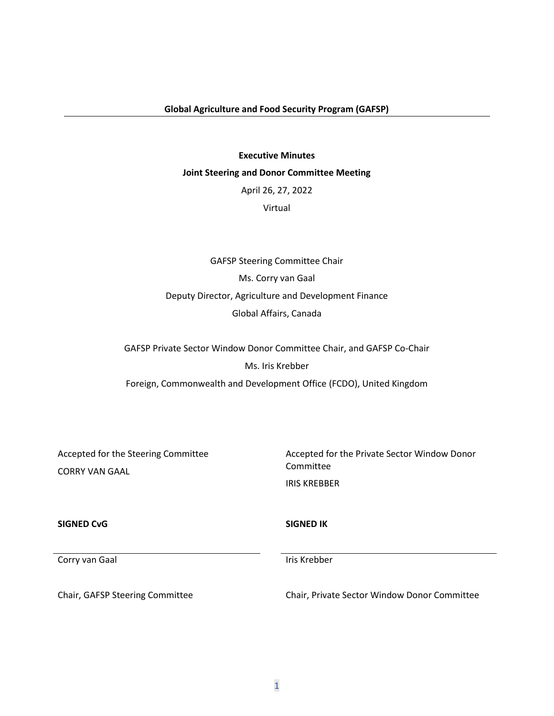#### **Executive Minutes**

#### **Joint Steering and Donor Committee Meeting**

April 26, 27, 2022

Virtual

GAFSP Steering Committee Chair Ms. Corry van Gaal Deputy Director, Agriculture and Development Finance Global Affairs, Canada

GAFSP Private Sector Window Donor Committee Chair, and GAFSP Co-Chair Ms. Iris Krebber Foreign, Commonwealth and Development Office (FCDO), United Kingdom

Accepted for the Steering Committee CORRY VAN GAAL

Accepted for the Private Sector Window Donor Committee IRIS KREBBER

**SIGNED CvG SIGNED IK**

Corry van Gaal is a versteen van die steedstelling van die koning van die koning van die koning van die koning

Chair, GAFSP Steering Committee Chair, Private Sector Window Donor Committee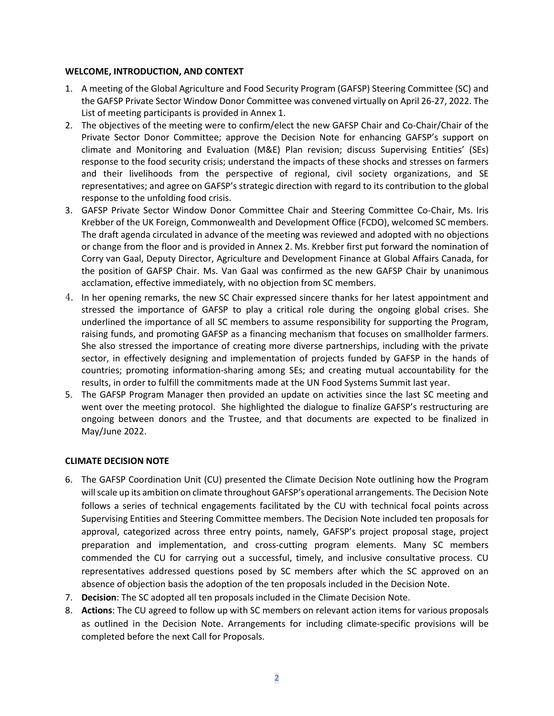#### **WELCOME, INTRODUCTION, AND CONTEXT**

- 1. A meeting of the Global Agriculture and Food Security Program (GAFSP) Steering Committee (SC) and the GAFSP Private Sector Window Donor Committee was convened virtually on April 26-27, 2022. The List of meeting participants is provided in Annex 1.
- 2. The objectives of the meeting were to confirm/elect the new GAFSP Chair and Co-Chair/Chair of the Private Sector Donor Committee; approve the Decision Note for enhancing GAFSP's support on climate and Monitoring and Evaluation (M&E) Plan revision; discuss Supervising Entities' (SEs) response to the food security crisis; understand the impacts of these shocks and stresses on farmers and their livelihoods from the perspective of regional, civil society organizations, and SE representatives; and agree on GAFSP's strategic direction with regard to its contribution to the global response to the unfolding food crisis.
- 3. GAFSP Private Sector Window Donor Committee Chair and Steering Committee Co-Chair, Ms. Iris Krebber of the UK Foreign, Commonwealth and Development Office (FCDO), welcomed SC members. The draft agenda circulated in advance of the meeting was reviewed and adopted with no objections or change from the floor and is provided in Annex 2. Ms. Krebber first put forward the nomination of Corry van Gaal, Deputy Director, Agriculture and Development Finance at Global Affairs Canada, for the position of GAFSP Chair. Ms. Van Gaal was confirmed as the new GAFSP Chair by unanimous acclamation, effective immediately, with no objection from SC members.
- 4. In her opening remarks, the new SC Chair expressed sincere thanks for her latest appointment and stressed the importance of GAFSP to play a critical role during the ongoing global crises. She underlined the importance of all SC members to assume responsibility for supporting the Program, raising funds, and promoting GAFSP as a financing mechanism that focuses on smallholder farmers. She also stressed the importance of creating more diverse partnerships, including with the private sector, in effectively designing and implementation of projects funded by GAFSP in the hands of countries; promoting information-sharing among SEs; and creating mutual accountability for the results, in order to fulfill the commitments made at the UN Food Systems Summit last year.
- 5. The GAFSP Program Manager then provided an update on activities since the last SC meeting and went over the meeting protocol. She highlighted the dialogue to finalize GAFSP's restructuring are ongoing between donors and the Trustee, and that documents are expected to be finalized in May/June 2022.

## **CLIMATE DECISION NOTE**

- 6. The GAFSP Coordination Unit (CU) presented the Climate Decision Note outlining how the Program will scale up its ambition on climate throughout GAFSP's operational arrangements. The Decision Note follows a series of technical engagements facilitated by the CU with technical focal points across Supervising Entities and Steering Committee members. The Decision Note included ten proposals for approval, categorized across three entry points, namely, GAFSP's project proposal stage, project preparation and implementation, and cross-cutting program elements. Many SC members commended the CU for carrying out a successful, timely, and inclusive consultative process. CU representatives addressed questions posed by SC members after which the SC approved on an absence of objection basis the adoption of the ten proposals included in the Decision Note.
- 7. **Decision**: The SC adopted all ten proposals included in the Climate Decision Note.
- 8. **Actions**: The CU agreed to follow up with SC members on relevant action items for various proposals as outlined in the Decision Note. Arrangements for including climate-specific provisions will be completed before the next Call for Proposals.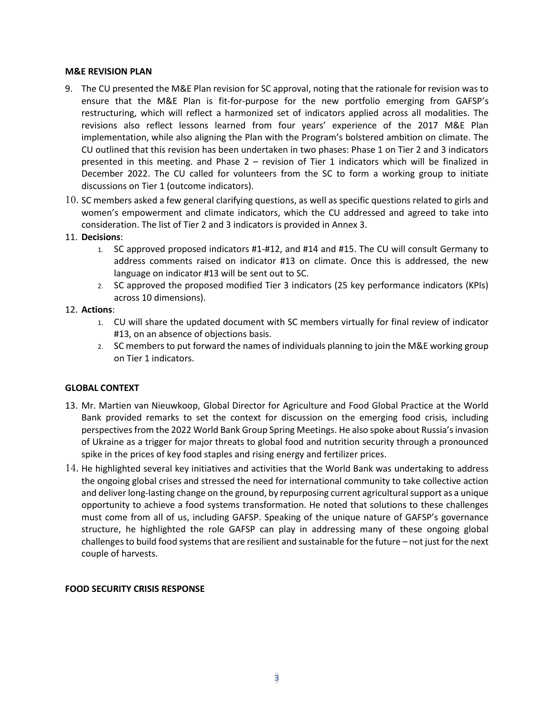#### **M&E REVISION PLAN**

- 9. The CU presented the M&E Plan revision for SC approval, noting that the rationale for revision was to ensure that the M&E Plan is fit-for-purpose for the new portfolio emerging from GAFSP's restructuring, which will reflect a harmonized set of indicators applied across all modalities. The revisions also reflect lessons learned from four years' experience of the 2017 M&E Plan implementation, while also aligning the Plan with the Program's bolstered ambition on climate. The CU outlined that this revision has been undertaken in two phases: Phase 1 on Tier 2 and 3 indicators presented in this meeting. and Phase 2 – revision of Tier 1 indicators which will be finalized in December 2022. The CU called for volunteers from the SC to form a working group to initiate discussions on Tier 1 (outcome indicators).
- 10. SC members asked a few general clarifying questions, as well as specific questions related to girls and women's empowerment and climate indicators, which the CU addressed and agreed to take into consideration. The list of Tier 2 and 3 indicators is provided in Annex 3.
- 11. **Decisions**:
	- 1. SC approved proposed indicators #1-#12, and #14 and #15. The CU will consult Germany to address comments raised on indicator #13 on climate. Once this is addressed, the new language on indicator #13 will be sent out to SC.
	- 2. SC approved the proposed modified Tier 3 indicators (25 key performance indicators (KPIs) across 10 dimensions).

## 12. **Actions**:

- 1. CU will share the updated document with SC members virtually for final review of indicator #13, on an absence of objections basis.
- 2. SC members to put forward the names of individuals planning to join the M&E working group on Tier 1 indicators.

## **GLOBAL CONTEXT**

- 13. Mr. Martien van Nieuwkoop, Global Director for Agriculture and Food Global Practice at the World Bank provided remarks to set the context for discussion on the emerging food crisis, including perspectives from the 2022 World Bank Group Spring Meetings. He also spoke about Russia's invasion of Ukraine as a trigger for major threats to global food and nutrition security through a pronounced spike in the prices of key food staples and rising energy and fertilizer prices.
- 14. He highlighted several key initiatives and activities that the World Bank was undertaking to address the ongoing global crises and stressed the need for international community to take collective action and deliver long-lasting change on the ground, by repurposing current agricultural support as a unique opportunity to achieve a food systems transformation. He noted that solutions to these challenges must come from all of us, including GAFSP. Speaking of the unique nature of GAFSP's governance structure, he highlighted the role GAFSP can play in addressing many of these ongoing global challengesto build food systems that are resilient and sustainable for the future – not just for the next couple of harvests.

## **FOOD SECURITY CRISIS RESPONSE**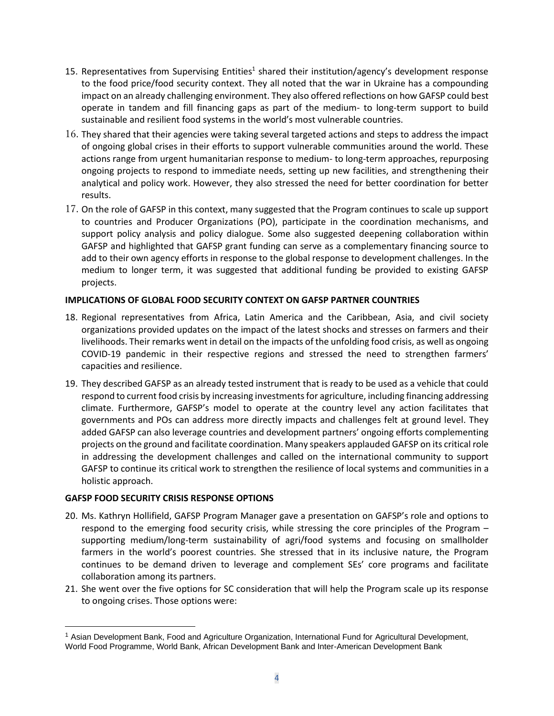- 15. Representatives from Supervising Entities<sup>1</sup> shared their institution/agency's development response to the food price/food security context. They all noted that the war in Ukraine has a compounding impact on an already challenging environment. They also offered reflections on how GAFSP could best operate in tandem and fill financing gaps as part of the medium- to long-term support to build sustainable and resilient food systems in the world's most vulnerable countries.
- 16. They shared that their agencies were taking several targeted actions and steps to address the impact of ongoing global crises in their efforts to support vulnerable communities around the world. These actions range from urgent humanitarian response to medium- to long-term approaches, repurposing ongoing projects to respond to immediate needs, setting up new facilities, and strengthening their analytical and policy work. However, they also stressed the need for better coordination for better results.
- 17. On the role of GAFSP in this context, many suggested that the Program continues to scale up support to countries and Producer Organizations (PO), participate in the coordination mechanisms, and support policy analysis and policy dialogue. Some also suggested deepening collaboration within GAFSP and highlighted that GAFSP grant funding can serve as a complementary financing source to add to their own agency efforts in response to the global response to development challenges. In the medium to longer term, it was suggested that additional funding be provided to existing GAFSP projects.

## **IMPLICATIONS OF GLOBAL FOOD SECURITY CONTEXT ON GAFSP PARTNER COUNTRIES**

- 18. Regional representatives from Africa, Latin America and the Caribbean, Asia, and civil society organizations provided updates on the impact of the latest shocks and stresses on farmers and their livelihoods. Their remarks went in detail on the impacts of the unfolding food crisis, as well as ongoing COVID-19 pandemic in their respective regions and stressed the need to strengthen farmers' capacities and resilience.
- 19. They described GAFSP as an already tested instrument that is ready to be used as a vehicle that could respond to current food crisis by increasing investments for agriculture, including financing addressing climate. Furthermore, GAFSP's model to operate at the country level any action facilitates that governments and POs can address more directly impacts and challenges felt at ground level. They added GAFSP can also leverage countries and development partners' ongoing efforts complementing projects on the ground and facilitate coordination. Many speakers applauded GAFSP on its critical role in addressing the development challenges and called on the international community to support GAFSP to continue its critical work to strengthen the resilience of local systems and communities in a holistic approach.

## **GAFSP FOOD SECURITY CRISIS RESPONSE OPTIONS**

- 20. Ms. Kathryn Hollifield, GAFSP Program Manager gave a presentation on GAFSP's role and options to respond to the emerging food security crisis, while stressing the core principles of the Program – supporting medium/long-term sustainability of agri/food systems and focusing on smallholder farmers in the world's poorest countries. She stressed that in its inclusive nature, the Program continues to be demand driven to leverage and complement SEs' core programs and facilitate collaboration among its partners.
- 21. She went over the five options for SC consideration that will help the Program scale up its response to ongoing crises. Those options were:

<sup>1</sup> Asian Development Bank, Food and Agriculture Organization, International Fund for Agricultural Development, World Food Programme, World Bank, African Development Bank and Inter-American Development Bank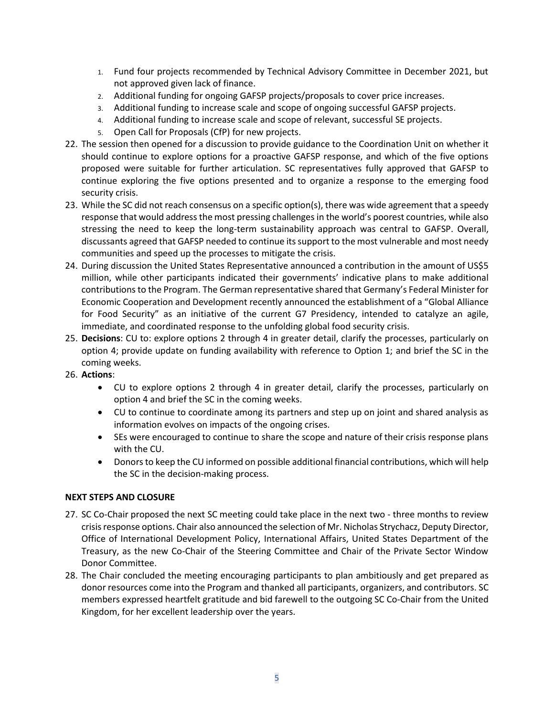- 1. Fund four projects recommended by Technical Advisory Committee in December 2021, but not approved given lack of finance.
- 2. Additional funding for ongoing GAFSP projects/proposals to cover price increases.
- 3. Additional funding to increase scale and scope of ongoing successful GAFSP projects.
- 4. Additional funding to increase scale and scope of relevant, successful SE projects.
- 5. Open Call for Proposals (CfP) for new projects.
- 22. The session then opened for a discussion to provide guidance to the Coordination Unit on whether it should continue to explore options for a proactive GAFSP response, and which of the five options proposed were suitable for further articulation. SC representatives fully approved that GAFSP to continue exploring the five options presented and to organize a response to the emerging food security crisis.
- 23. While the SC did not reach consensus on a specific option(s), there was wide agreement that a speedy response that would address the most pressing challenges in the world's poorest countries, while also stressing the need to keep the long-term sustainability approach was central to GAFSP. Overall, discussants agreed that GAFSP needed to continue its support to the most vulnerable and most needy communities and speed up the processes to mitigate the crisis.
- 24. During discussion the United States Representative announced a contribution in the amount of US\$5 million, while other participants indicated their governments' indicative plans to make additional contributions to the Program. The German representative shared that Germany's Federal Minister for Economic Cooperation and Development recently announced the establishment of a "Global Alliance for Food Security" as an initiative of the current G7 Presidency, intended to catalyze an agile, immediate, and coordinated response to the unfolding global food security crisis.
- 25. **Decisions**: CU to: explore options 2 through 4 in greater detail, clarify the processes, particularly on option 4; provide update on funding availability with reference to Option 1; and brief the SC in the coming weeks.
- 26. **Actions**:
	- CU to explore options 2 through 4 in greater detail, clarify the processes, particularly on option 4 and brief the SC in the coming weeks.
	- CU to continue to coordinate among its partners and step up on joint and shared analysis as information evolves on impacts of the ongoing crises.
	- SEs were encouraged to continue to share the scope and nature of their crisis response plans with the CU.
	- Donors to keep the CU informed on possible additional financial contributions, which will help the SC in the decision-making process.

## **NEXT STEPS AND CLOSURE**

- 27. SC Co-Chair proposed the next SC meeting could take place in the next two three months to review crisis response options. Chair also announced the selection of Mr. Nicholas Strychacz, Deputy Director, Office of International Development Policy, International Affairs, United States Department of the Treasury, as the new Co-Chair of the Steering Committee and Chair of the Private Sector Window Donor Committee.
- 28. The Chair concluded the meeting encouraging participants to plan ambitiously and get prepared as donor resources come into the Program and thanked all participants, organizers, and contributors. SC members expressed heartfelt gratitude and bid farewell to the outgoing SC Co-Chair from the United Kingdom, for her excellent leadership over the years.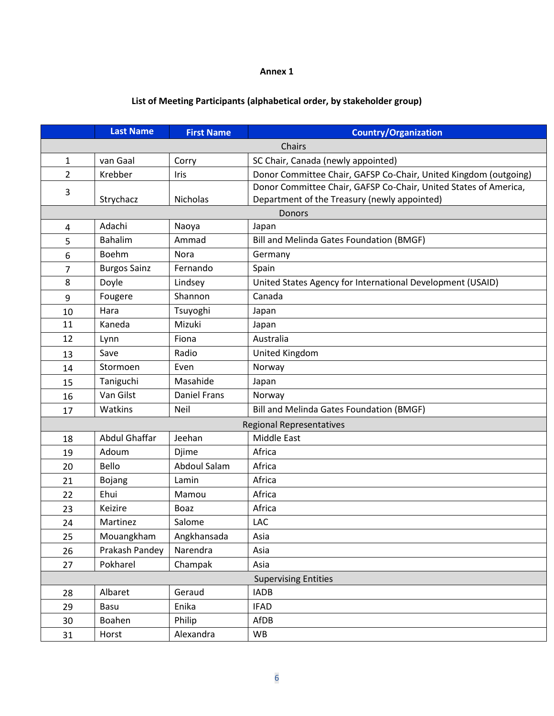#### **Annex 1**

# **List of Meeting Participants (alphabetical order, by stakeholder group)**

|                                                                          | <b>Last Name</b>                                             | <b>First Name</b>                                                        | <b>Country/Organization</b>                                      |  |  |
|--------------------------------------------------------------------------|--------------------------------------------------------------|--------------------------------------------------------------------------|------------------------------------------------------------------|--|--|
|                                                                          | Chairs                                                       |                                                                          |                                                                  |  |  |
| $\mathbf{1}$                                                             | SC Chair, Canada (newly appointed)<br>van Gaal<br>Corry      |                                                                          |                                                                  |  |  |
| $\overline{2}$                                                           | Krebber                                                      | Donor Committee Chair, GAFSP Co-Chair, United Kingdom (outgoing)<br>Iris |                                                                  |  |  |
| 3                                                                        |                                                              |                                                                          | Donor Committee Chair, GAFSP Co-Chair, United States of America, |  |  |
|                                                                          | Strychacz                                                    | <b>Nicholas</b>                                                          | Department of the Treasury (newly appointed)                     |  |  |
|                                                                          | <b>Donors</b>                                                |                                                                          |                                                                  |  |  |
| Adachi<br>Naoya<br>Japan<br>4                                            |                                                              |                                                                          |                                                                  |  |  |
| 5                                                                        | Bahalim<br>Ammad<br>Bill and Melinda Gates Foundation (BMGF) |                                                                          |                                                                  |  |  |
| 6                                                                        | Boehm                                                        | Nora                                                                     | Germany                                                          |  |  |
| 7                                                                        | <b>Burgos Sainz</b>                                          | Fernando                                                                 | Spain                                                            |  |  |
| 8                                                                        | Doyle                                                        | Lindsey                                                                  | United States Agency for International Development (USAID)       |  |  |
| 9                                                                        | Fougere                                                      | Shannon                                                                  | Canada                                                           |  |  |
| 10                                                                       | Hara<br>Tsuyoghi<br>Japan                                    |                                                                          |                                                                  |  |  |
| Mizuki<br>11<br>Kaneda<br>Japan                                          |                                                              |                                                                          |                                                                  |  |  |
| Australia<br>12<br>Fiona<br>Lynn                                         |                                                              |                                                                          |                                                                  |  |  |
| 13                                                                       | Save                                                         | Radio<br>United Kingdom                                                  |                                                                  |  |  |
| 14                                                                       | Stormoen                                                     | Even                                                                     | Norway                                                           |  |  |
| 15                                                                       | Taniguchi                                                    | Masahide                                                                 | Japan                                                            |  |  |
| 16                                                                       | Van Gilst                                                    | <b>Daniel Frans</b>                                                      | Norway                                                           |  |  |
| <b>Neil</b><br>Watkins<br>Bill and Melinda Gates Foundation (BMGF)<br>17 |                                                              |                                                                          |                                                                  |  |  |
|                                                                          | <b>Regional Representatives</b>                              |                                                                          |                                                                  |  |  |
| <b>Abdul Ghaffar</b><br>Jeehan<br>Middle East<br>18                      |                                                              |                                                                          |                                                                  |  |  |
| 19                                                                       | Adoum                                                        | Africa<br>Djime                                                          |                                                                  |  |  |
| 20                                                                       | Bello                                                        | Abdoul Salam                                                             | Africa                                                           |  |  |
| 21                                                                       | Africa<br>Bojang<br>Lamin                                    |                                                                          |                                                                  |  |  |
| 22                                                                       | Ehui<br>Africa<br>Mamou                                      |                                                                          |                                                                  |  |  |
| 23                                                                       | Keizire                                                      | Boaz                                                                     | Africa                                                           |  |  |
| 24                                                                       | Martinez                                                     | Salome                                                                   | LAC                                                              |  |  |
| 25                                                                       | Mouangkham                                                   | Angkhansada                                                              | Asia                                                             |  |  |
| 26                                                                       | Prakash Pandey                                               | Narendra                                                                 | Asia                                                             |  |  |
| 27                                                                       | Pokharel<br>Champak<br>Asia                                  |                                                                          |                                                                  |  |  |
| <b>Supervising Entities</b>                                              |                                                              |                                                                          |                                                                  |  |  |
| 28                                                                       | Albaret                                                      | Geraud                                                                   | <b>IADB</b>                                                      |  |  |
| 29                                                                       | Basu                                                         | Enika                                                                    | <b>IFAD</b>                                                      |  |  |
| 30                                                                       | Philip<br>Boahen<br>AfDB                                     |                                                                          |                                                                  |  |  |
| 31                                                                       | Horst                                                        | Alexandra                                                                | WB                                                               |  |  |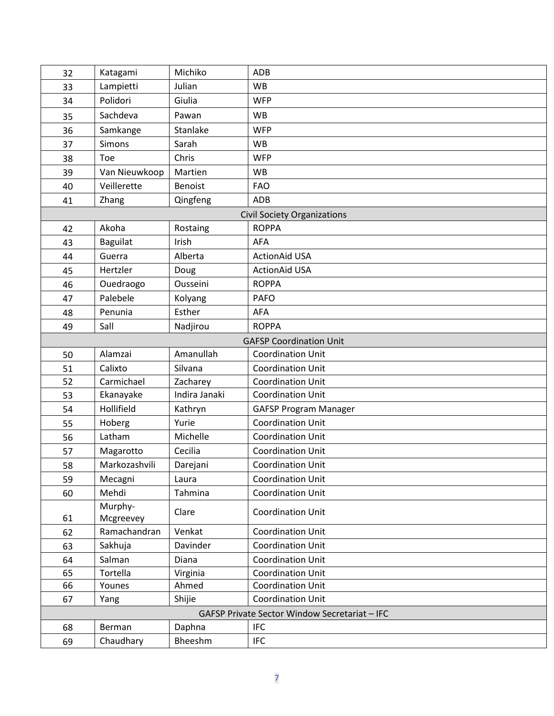| 32                                                                                    | Katagami           | Michiko           | <b>ADB</b>                                           |  |
|---------------------------------------------------------------------------------------|--------------------|-------------------|------------------------------------------------------|--|
| 33                                                                                    | Lampietti          | Julian            | <b>WB</b>                                            |  |
| 34                                                                                    | Polidori           | Giulia            | <b>WFP</b>                                           |  |
| 35                                                                                    | Sachdeva           | Pawan             | <b>WB</b>                                            |  |
| 36                                                                                    | Samkange           | Stanlake          | <b>WFP</b>                                           |  |
| 37                                                                                    | <b>Simons</b>      | Sarah             | <b>WB</b>                                            |  |
| 38                                                                                    | Toe                | Chris             | <b>WFP</b>                                           |  |
| 39                                                                                    | Van Nieuwkoop      | Martien           | <b>WB</b>                                            |  |
| 40                                                                                    | Veillerette        | <b>Benoist</b>    | <b>FAO</b>                                           |  |
| 41                                                                                    | Zhang              | Qingfeng          | ADB                                                  |  |
|                                                                                       |                    |                   | <b>Civil Society Organizations</b>                   |  |
| 42                                                                                    | Akoha              | Rostaing          | <b>ROPPA</b>                                         |  |
| 43                                                                                    | Baguilat           | Irish             | <b>AFA</b>                                           |  |
| 44                                                                                    | Guerra             | Alberta           | <b>ActionAid USA</b>                                 |  |
| 45                                                                                    | Hertzler           | Doug              | <b>ActionAid USA</b>                                 |  |
| 46                                                                                    | Ouedraogo          | Ousseini          | <b>ROPPA</b>                                         |  |
| 47                                                                                    | Palebele           | Kolyang           | <b>PAFO</b>                                          |  |
| 48                                                                                    | Penunia            | Esther            | <b>AFA</b>                                           |  |
| 49                                                                                    | Sall               | Nadjirou          | <b>ROPPA</b>                                         |  |
|                                                                                       |                    |                   | <b>GAFSP Coordination Unit</b>                       |  |
| Amanullah<br>Alamzai<br><b>Coordination Unit</b><br>50                                |                    |                   |                                                      |  |
| 51                                                                                    | Calixto            | Silvana           | <b>Coordination Unit</b>                             |  |
| 52                                                                                    | Carmichael         | Zacharey          | <b>Coordination Unit</b>                             |  |
| 53                                                                                    | Ekanayake          | Indira Janaki     | <b>Coordination Unit</b>                             |  |
| 54                                                                                    | Hollifield         | Kathryn           | <b>GAFSP Program Manager</b>                         |  |
| 55                                                                                    | Hoberg             | Yurie             | <b>Coordination Unit</b>                             |  |
| 56                                                                                    | Latham             | Michelle          | <b>Coordination Unit</b>                             |  |
| 57                                                                                    | Magarotto          | Cecilia           | <b>Coordination Unit</b>                             |  |
| 58                                                                                    | Markozashvili      | Darejani          | <b>Coordination Unit</b>                             |  |
| 59                                                                                    | Mecagni            | Laura             | <b>Coordination Unit</b>                             |  |
| 60                                                                                    | Mehdi              | Tahmina           | <b>Coordination Unit</b>                             |  |
|                                                                                       | Murphy-            | Clare             | <b>Coordination Unit</b>                             |  |
| 61                                                                                    | Mcgreevey          |                   |                                                      |  |
| 62                                                                                    | Ramachandran       | Venkat            | <b>Coordination Unit</b>                             |  |
| 63                                                                                    | Sakhuja            | Davinder          | <b>Coordination Unit</b>                             |  |
| 64                                                                                    | Salman             | Diana             | <b>Coordination Unit</b>                             |  |
| 65<br>66                                                                              | Tortella<br>Younes | Virginia<br>Ahmed | <b>Coordination Unit</b><br><b>Coordination Unit</b> |  |
| 67                                                                                    | Yang               | Shijie            | <b>Coordination Unit</b>                             |  |
|                                                                                       |                    |                   |                                                      |  |
| GAFSP Private Sector Window Secretariat - IFC<br><b>IFC</b><br>Daphna<br>68<br>Berman |                    |                   |                                                      |  |
| 69                                                                                    | Chaudhary          | Bheeshm           | <b>IFC</b>                                           |  |
|                                                                                       |                    |                   |                                                      |  |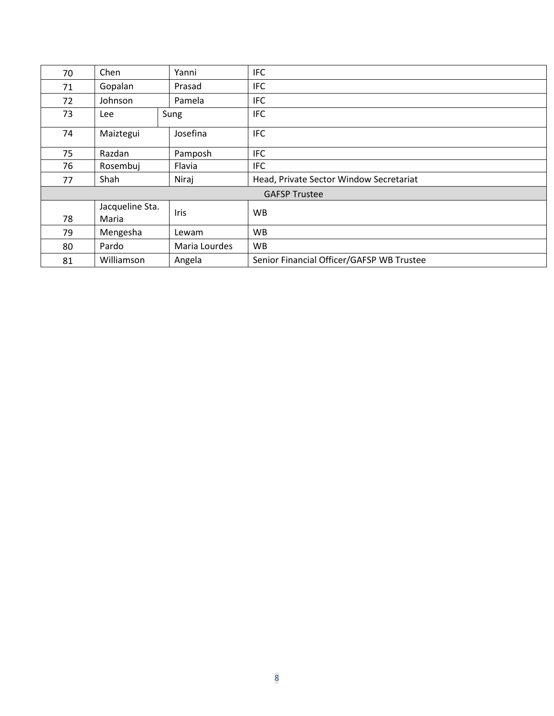| 70                   | Chen            | Yanni         | <b>IFC</b>                                |  |  |
|----------------------|-----------------|---------------|-------------------------------------------|--|--|
| 71                   | Gopalan         | Prasad        | <b>IFC</b>                                |  |  |
| 72                   | Johnson         | Pamela        | <b>IFC</b>                                |  |  |
| 73                   | <b>Lee</b>      | Sung          | <b>IFC</b>                                |  |  |
| 74                   | Maiztegui       | Josefina      | <b>IFC</b>                                |  |  |
| 75                   | Razdan          | Pamposh       | <b>IFC</b>                                |  |  |
| 76                   | Rosembuj        | Flavia        | <b>IFC</b>                                |  |  |
| 77                   | Shah<br>Niraj   |               | Head, Private Sector Window Secretariat   |  |  |
| <b>GAFSP Trustee</b> |                 |               |                                           |  |  |
|                      | Jacqueline Sta. | <b>Iris</b>   | <b>WB</b>                                 |  |  |
| 78                   | Maria           |               |                                           |  |  |
| 79                   | Mengesha        | Lewam         | WB                                        |  |  |
| 80                   | Pardo           | Maria Lourdes | WB                                        |  |  |
| 81                   | Williamson      | Angela        | Senior Financial Officer/GAFSP WB Trustee |  |  |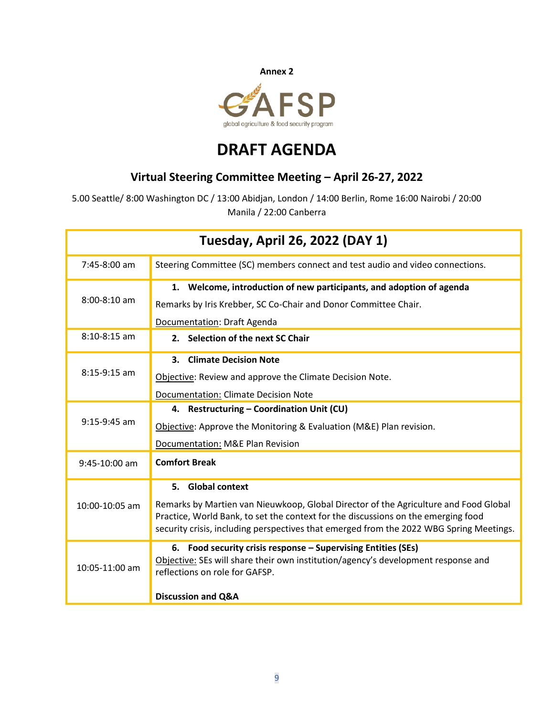

# **DRAFT AGENDA**

# **Virtual Steering Committee Meeting – April 26-27, 2022**

5.00 Seattle/ 8:00 Washington DC / 13:00 Abidjan, London / 14:00 Berlin, Rome 16:00 Nairobi / 20:00 Manila / 22:00 Canberra

| Tuesday, April 26, 2022 (DAY 1) |                                                                                                                                                                                                                                                                                           |  |  |  |
|---------------------------------|-------------------------------------------------------------------------------------------------------------------------------------------------------------------------------------------------------------------------------------------------------------------------------------------|--|--|--|
| $7:45-8:00$ am                  | Steering Committee (SC) members connect and test audio and video connections.                                                                                                                                                                                                             |  |  |  |
| $8:00 - 8:10$ am                | 1. Welcome, introduction of new participants, and adoption of agenda<br>Remarks by Iris Krebber, SC Co-Chair and Donor Committee Chair.<br>Documentation: Draft Agenda                                                                                                                    |  |  |  |
| $8:10-8:15$ am                  | 2. Selection of the next SC Chair                                                                                                                                                                                                                                                         |  |  |  |
| $8:15-9:15$ am                  | 3. Climate Decision Note<br>Objective: Review and approve the Climate Decision Note.<br><b>Documentation: Climate Decision Note</b>                                                                                                                                                       |  |  |  |
| $9:15-9:45$ am                  | 4. Restructuring - Coordination Unit (CU)<br>Objective: Approve the Monitoring & Evaluation (M&E) Plan revision.<br>Documentation: M&E Plan Revision                                                                                                                                      |  |  |  |
| 9:45-10:00 am                   | <b>Comfort Break</b>                                                                                                                                                                                                                                                                      |  |  |  |
| 10:00-10:05 am                  | 5. Global context<br>Remarks by Martien van Nieuwkoop, Global Director of the Agriculture and Food Global<br>Practice, World Bank, to set the context for the discussions on the emerging food<br>security crisis, including perspectives that emerged from the 2022 WBG Spring Meetings. |  |  |  |
| 10:05-11:00 am                  | 6. Food security crisis response - Supervising Entities (SEs)<br>Objective: SEs will share their own institution/agency's development response and<br>reflections on role for GAFSP.<br><b>Discussion and Q&amp;A</b>                                                                     |  |  |  |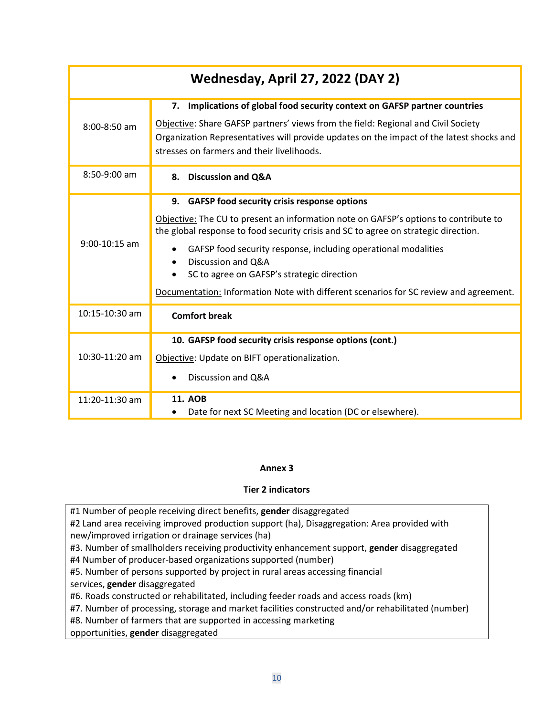| Wednesday, April 27, 2022 (DAY 2) |                                                                                                                                                                                                                                                                                                                                                                                                                                                                           |  |  |
|-----------------------------------|---------------------------------------------------------------------------------------------------------------------------------------------------------------------------------------------------------------------------------------------------------------------------------------------------------------------------------------------------------------------------------------------------------------------------------------------------------------------------|--|--|
| 8:00-8:50 am                      | 7. Implications of global food security context on GAFSP partner countries<br>Objective: Share GAFSP partners' views from the field: Regional and Civil Society<br>Organization Representatives will provide updates on the impact of the latest shocks and<br>stresses on farmers and their livelihoods.                                                                                                                                                                 |  |  |
| 8:50-9:00 am                      | 8. Discussion and Q&A                                                                                                                                                                                                                                                                                                                                                                                                                                                     |  |  |
| $9:00-10:15$ am                   | 9. GAFSP food security crisis response options<br>Objective: The CU to present an information note on GAFSP's options to contribute to<br>the global response to food security crisis and SC to agree on strategic direction.<br>GAFSP food security response, including operational modalities<br>Discussion and Q&A<br>$\bullet$<br>SC to agree on GAFSP's strategic direction<br>Documentation: Information Note with different scenarios for SC review and agreement. |  |  |
| $10:15-10:30$ am                  | <b>Comfort break</b>                                                                                                                                                                                                                                                                                                                                                                                                                                                      |  |  |
| 10:30-11:20 am                    | 10. GAFSP food security crisis response options (cont.)<br>Objective: Update on BIFT operationalization.<br>Discussion and Q&A                                                                                                                                                                                                                                                                                                                                            |  |  |
| 11:20-11:30 am                    | <b>11. AOB</b><br>Date for next SC Meeting and location (DC or elsewhere).                                                                                                                                                                                                                                                                                                                                                                                                |  |  |

# **Annex 3**

# **Tier 2 indicators**

#1 Number of people receiving direct benefits, **gender** disaggregated

#2 Land area receiving improved production support (ha), Disaggregation: Area provided with new/improved irrigation or drainage services (ha)

#3. Number of smallholders receiving productivity enhancement support, **gender** disaggregated

#4 Number of producer-based organizations supported (number)

#5. Number of persons supported by project in rural areas accessing financial

services, **gender** disaggregated

#6. Roads constructed or rehabilitated, including feeder roads and access roads (km)

#7. Number of processing, storage and market facilities constructed and/or rehabilitated (number)

#8. Number of farmers that are supported in accessing marketing

opportunities, **gender** disaggregated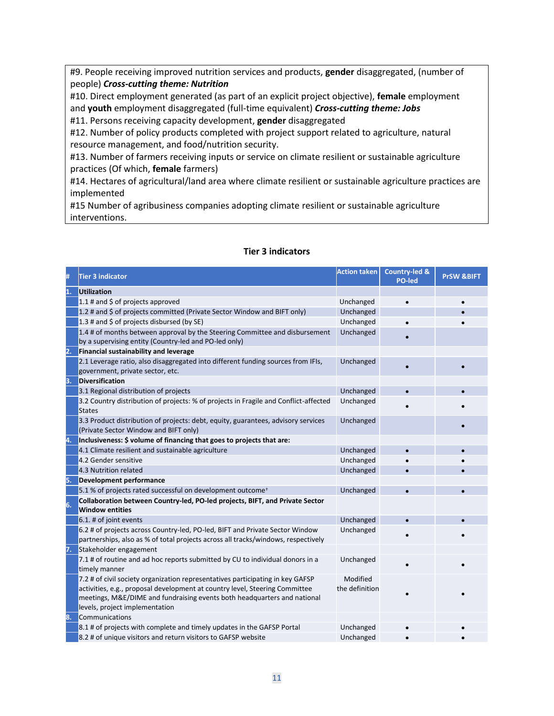#9. People receiving improved nutrition services and products, **gender** disaggregated, (number of people) *Cross-cutting theme: Nutrition*

#10. Direct employment generated (as part of an explicit project objective), **female** employment and **youth** employment disaggregated (full-time equivalent) *Cross-cutting theme: Jobs*

#11. Persons receiving capacity development, **gender** disaggregated

#12. Number of policy products completed with project support related to agriculture, natural resource management, and food/nutrition security.

#13. Number of farmers receiving inputs or service on climate resilient or sustainable agriculture practices (Of which, **female** farmers)

#14. Hectares of agricultural/land area where climate resilient or sustainable agriculture practices are implemented

#15 Number of agribusiness companies adopting climate resilient or sustainable agriculture interventions.

## **Tier 3 indicators**

| #  | <b>Tier 3 indicator</b>                                                                                                                                                                                                                                                     | <b>Action taken</b>        | <b>Country-led &amp;</b><br><b>PO-led</b> | <b>PrSW &amp;BIFT</b> |
|----|-----------------------------------------------------------------------------------------------------------------------------------------------------------------------------------------------------------------------------------------------------------------------------|----------------------------|-------------------------------------------|-----------------------|
| 1. | <b>Utilization</b>                                                                                                                                                                                                                                                          |                            |                                           |                       |
|    | 1.1 # and $\frac{1}{2}$ of projects approved                                                                                                                                                                                                                                | Unchanged                  | $\bullet$                                 |                       |
|    | 1.2 # and \$ of projects committed (Private Sector Window and BIFT only)                                                                                                                                                                                                    | Unchanged                  |                                           |                       |
|    | 1.3 # and \$ of projects disbursed (by SE)                                                                                                                                                                                                                                  | Unchanged                  | $\bullet$                                 |                       |
|    | 1.4 # of months between approval by the Steering Committee and disbursement<br>by a supervising entity (Country-led and PO-led only)                                                                                                                                        | Unchanged                  |                                           |                       |
| 2. | <b>Financial sustainability and leverage</b>                                                                                                                                                                                                                                |                            |                                           |                       |
|    | 2.1 Leverage ratio, also disaggregated into different funding sources from IFIs,<br>government, private sector, etc.                                                                                                                                                        | Unchanged                  |                                           |                       |
| 3. | <b>Diversification</b>                                                                                                                                                                                                                                                      |                            |                                           |                       |
|    | 3.1 Regional distribution of projects                                                                                                                                                                                                                                       | Unchanged                  |                                           |                       |
|    | 3.2 Country distribution of projects: % of projects in Fragile and Conflict-affected<br><b>States</b>                                                                                                                                                                       | Unchanged                  |                                           |                       |
|    | 3.3 Product distribution of projects: debt, equity, guarantees, advisory services<br>(Private Sector Window and BIFT only)                                                                                                                                                  | Unchanged                  |                                           |                       |
| 4. | Inclusiveness: \$ volume of financing that goes to projects that are:                                                                                                                                                                                                       |                            |                                           |                       |
|    | 4.1 Climate resilient and sustainable agriculture                                                                                                                                                                                                                           | Unchanged                  |                                           |                       |
|    | 4.2 Gender sensitive                                                                                                                                                                                                                                                        | Unchanged                  |                                           |                       |
|    | 4.3 Nutrition related                                                                                                                                                                                                                                                       | Unchanged                  |                                           |                       |
| 5. | <b>Development performance</b>                                                                                                                                                                                                                                              |                            |                                           |                       |
|    | 5.1 % of projects rated successful on development outcome <sup>+</sup>                                                                                                                                                                                                      | Unchanged                  | $\bullet$                                 |                       |
| 6. | Collaboration between Country-led, PO-led projects, BIFT, and Private Sector<br><b>Window entities</b>                                                                                                                                                                      |                            |                                           |                       |
|    | 6.1. # of joint events                                                                                                                                                                                                                                                      | Unchanged                  |                                           |                       |
|    | 6.2 # of projects across Country-led, PO-led, BIFT and Private Sector Window<br>partnerships, also as % of total projects across all tracks/windows, respectively                                                                                                           | Unchanged                  |                                           |                       |
| 7. | Stakeholder engagement                                                                                                                                                                                                                                                      |                            |                                           |                       |
|    | 7.1 # of routine and ad hoc reports submitted by CU to individual donors in a<br>timely manner                                                                                                                                                                              | Unchanged                  |                                           |                       |
|    | 7.2 # of civil society organization representatives participating in key GAFSP<br>activities, e.g., proposal development at country level, Steering Committee<br>meetings, M&E/DIME and fundraising events both headquarters and national<br>levels, project implementation | Modified<br>the definition |                                           |                       |
| 8. | Communications                                                                                                                                                                                                                                                              |                            |                                           |                       |
|    | 8.1 # of projects with complete and timely updates in the GAFSP Portal                                                                                                                                                                                                      | Unchanged                  |                                           |                       |
|    | 8.2 # of unique visitors and return visitors to GAFSP website                                                                                                                                                                                                               | Unchanged                  |                                           |                       |